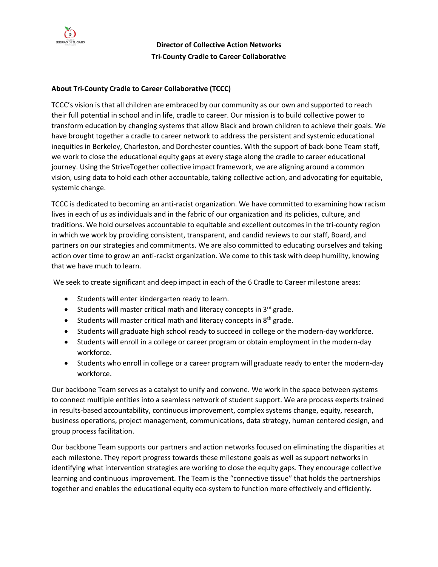

**Director of Collective Action Networks Tri-County Cradle to Career Collaborative**

## **About Tri-County Cradle to Career Collaborative (TCCC)**

TCCC's vision is that all children are embraced by our community as our own and supported to reach their full potential in school and in life, cradle to career. Our mission is to build collective power to transform education by changing systems that allow Black and brown children to achieve their goals. We have brought together a cradle to career network to address the persistent and systemic educational inequities in Berkeley, Charleston, and Dorchester counties. With the support of back-bone Team staff, we work to close the educational equity gaps at every stage along the cradle to career educational journey. Using the StriveTogether collective impact framework, we are aligning around a common vision, using data to hold each other accountable, taking collective action, and advocating for equitable, systemic change.

TCCC is dedicated to becoming an anti-racist organization. We have committed to examining how racism lives in each of us as individuals and in the fabric of our organization and its policies, culture, and traditions. We hold ourselves accountable to equitable and excellent outcomes in the tri-county region in which we work by providing consistent, transparent, and candid reviews to our staff, Board, and partners on our strategies and commitments. We are also committed to educating ourselves and taking action over time to grow an anti-racist organization. We come to this task with deep humility, knowing that we have much to learn.

We seek to create significant and deep impact in each of the 6 Cradle to Career milestone areas:

- Students will enter kindergarten ready to learn.
- Students will master critical math and literacy concepts in  $3^{rd}$  grade.
- Students will master critical math and literacy concepts in  $8<sup>th</sup>$  grade.
- Students will graduate high school ready to succeed in college or the modern-day workforce.
- Students will enroll in a college or career program or obtain employment in the modern-day workforce.
- Students who enroll in college or a career program will graduate ready to enter the modern-day workforce.

Our backbone Team serves as a catalyst to unify and convene. We work in the space between systems to connect multiple entities into a seamless network of student support. We are process experts trained in results-based accountability, continuous improvement, complex systems change, equity, research, business operations, project management, communications, data strategy, human centered design, and group process facilitation.

Our backbone Team supports our partners and action networks focused on eliminating the disparities at each milestone. They report progress towards these milestone goals as well as support networks in identifying what intervention strategies are working to close the equity gaps. They encourage collective learning and continuous improvement. The Team is the "connective tissue" that holds the partnerships together and enables the educational equity eco-system to function more effectively and efficiently.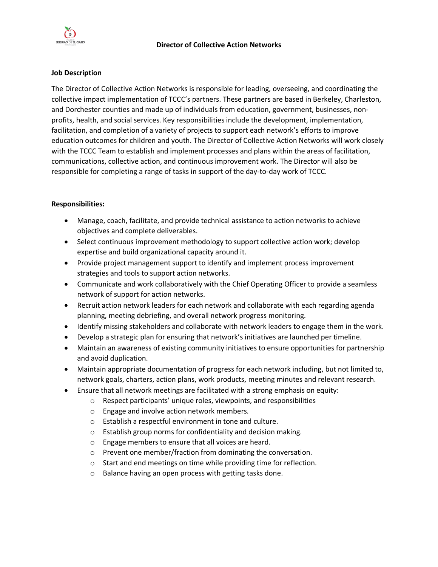

### **Job Description**

The Director of Collective Action Networks is responsible for leading, overseeing, and coordinating the collective impact implementation of TCCC's partners. These partners are based in Berkeley, Charleston, and Dorchester counties and made up of individuals from education, government, businesses, nonprofits, health, and social services. Key responsibilities include the development, implementation, facilitation, and completion of a variety of projects to support each network's efforts to improve education outcomes for children and youth. The Director of Collective Action Networks will work closely with the TCCC Team to establish and implement processes and plans within the areas of facilitation, communications, collective action, and continuous improvement work. The Director will also be responsible for completing a range of tasks in support of the day-to-day work of TCCC.

## **Responsibilities:**

- Manage, coach, facilitate, and provide technical assistance to action networks to achieve objectives and complete deliverables.
- Select continuous improvement methodology to support collective action work; develop expertise and build organizational capacity around it.
- Provide project management support to identify and implement process improvement strategies and tools to support action networks.
- Communicate and work collaboratively with the Chief Operating Officer to provide a seamless network of support for action networks.
- Recruit action network leaders for each network and collaborate with each regarding agenda planning, meeting debriefing, and overall network progress monitoring.
- Identify missing stakeholders and collaborate with network leaders to engage them in the work.
- Develop a strategic plan for ensuring that network's initiatives are launched per timeline.
- Maintain an awareness of existing community initiatives to ensure opportunities for partnership and avoid duplication.
- Maintain appropriate documentation of progress for each network including, but not limited to, network goals, charters, action plans, work products, meeting minutes and relevant research.
- Ensure that all network meetings are facilitated with a strong emphasis on equity:
	- o Respect participants' unique roles, viewpoints, and responsibilities
	- o Engage and involve action network members.
	- o Establish a respectful environment in tone and culture.
	- o Establish group norms for confidentiality and decision making.
	- o Engage members to ensure that all voices are heard.
	- o Prevent one member/fraction from dominating the conversation.
	- o Start and end meetings on time while providing time for reflection.
	- o Balance having an open process with getting tasks done.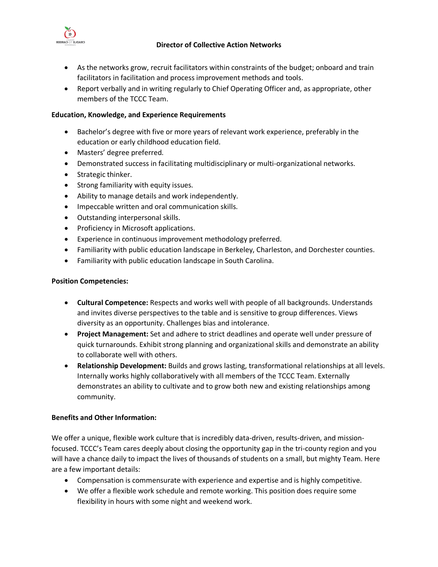## **Director of Collective Action Networks**



- As the networks grow, recruit facilitators within constraints of the budget; onboard and train facilitators in facilitation and process improvement methods and tools.
- Report verbally and in writing regularly to Chief Operating Officer and, as appropriate, other members of the TCCC Team.

# **Education, Knowledge, and Experience Requirements**

- Bachelor's degree with five or more years of relevant work experience, preferably in the education or early childhood education field.
- Masters' degree preferred.
- Demonstrated success in facilitating multidisciplinary or multi-organizational networks.
- Strategic thinker.
- Strong familiarity with equity issues.
- Ability to manage details and work independently.
- Impeccable written and oral communication skills.
- Outstanding interpersonal skills.
- Proficiency in Microsoft applications.
- Experience in continuous improvement methodology preferred.
- Familiarity with public education landscape in Berkeley, Charleston, and Dorchester counties.
- Familiarity with public education landscape in South Carolina.

## **Position Competencies:**

- **Cultural Competence:** Respects and works well with people of all backgrounds. Understands and invites diverse perspectives to the table and is sensitive to group differences. Views diversity as an opportunity. Challenges bias and intolerance.
- **Project Management:** Set and adhere to strict deadlines and operate well under pressure of quick turnarounds. Exhibit strong planning and organizational skills and demonstrate an ability to collaborate well with others.
- **Relationship Development:** Builds and grows lasting, transformational relationships at all levels. Internally works highly collaboratively with all members of the TCCC Team. Externally demonstrates an ability to cultivate and to grow both new and existing relationships among community.

# **Benefits and Other Information:**

We offer a unique, flexible work culture that is incredibly data-driven, results-driven, and missionfocused. TCCC's Team cares deeply about closing the opportunity gap in the tri-county region and you will have a chance daily to impact the lives of thousands of students on a small, but mighty Team. Here are a few important details:

- Compensation is commensurate with experience and expertise and is highly competitive.
- We offer a flexible work schedule and remote working. This position does require some flexibility in hours with some night and weekend work.